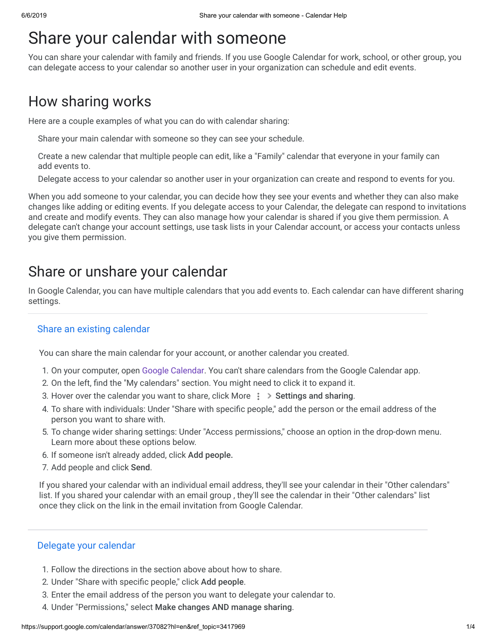# Share your calendar with someone

You can share your calendar with family and friends. If you use Google Calendar for work, school, or other group, you can delegate access to your calendar so another user in your organization can schedule and edit events.

# How sharing works

Here are a couple examples of what you can do with calendar sharing:

Share your main calendar with someone so they can see your schedule.

Create a new calendar that multiple people can edit, like a "Family" calendar that everyone in your family can add events to.

Delegate access to your calendar so another user in your organization can create and respond to events for you.

When you add someone to your calendar, you can decide how they see your events and whether they can also make changes like adding or editing events. If you delegate access to your Calendar, the delegate can respond to invitations and create and modify events. They can also manage how your calendar is shared if you give them permission. A delegate can't change your account settings, use task lists in your Calendar account, or access your contacts unless you give them permission.

## Share or unshare your calendar

In Google Calendar, you can have multiple calendars that you add events to. Each calendar can have different sharing settings.

#### Share an existing calendar

You can share the main calendar for your account, or another calendar you created.

- 1. On your computer, open [Google Calendar.](https://calendar.google.com/) You can't share calendars from the Google Calendar app.
- 2. On the left, find the "My calendars" section. You might need to click it to expand it.
- 3. Hover over the calendar you want to share, click More  $\frac{1}{2}$  > Settings and sharing.
- 4. To share with individuals: Under "Share with specific people," add the person or the email address of the person you want to share with.
- 5. To change wider sharing settings: Under "Access permissions," choose an option in the drop-down menu. Learn more about these options below.
- 6. If someone isn't already added, click Add people.
- 7. Add people and click Send.

If you shared your calendar with an individual email address, they'll see your calendar in their "Other calendars" list. If you shared your calendar with an email group , they'll see the calendar in their "Other calendars" list once they click on the link in the email invitation from Google Calendar.

#### Delegate your calendar

- 1. Follow the directions in the section above about how to share.
- 2. Under "Share with specific people," click Add people.
- 3. Enter the email address of the person you want to delegate your calendar to.
- 4. Under "Permissions," select Make changes AND manage sharing.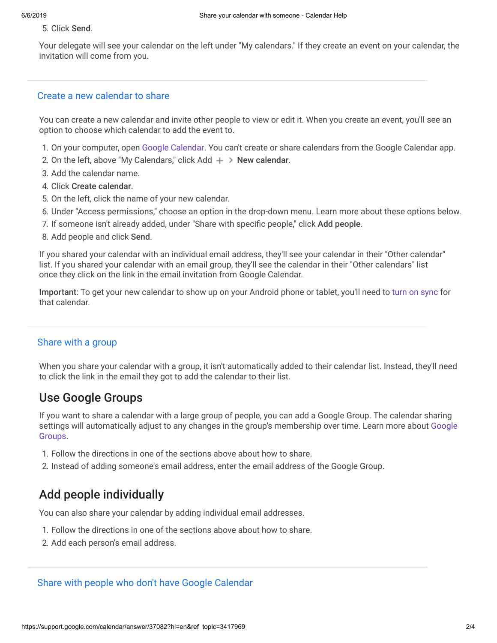#### 5. Click Send.

Your delegate will see your calendar on the left under "My calendars." If they create an event on your calendar, the invitation will come from you.

#### Create a new calendar to share

You can create a new calendar and invite other people to view or edit it. When you create an event, you'll see an option to choose which calendar to add the event to.

- 1. On your computer, open [Google Calendar.](https://calendar.google.com/) You can't create or share calendars from the Google Calendar app.
- 2. On the left, above "My Calendars," click Add  $+$  > New calendar.
- 3. Add the calendar name.
- 4. Click Create calendar.
- 5. On the left, click the name of your new calendar.
- 6. Under "Access permissions," choose an option in the drop-down menu. Learn more about these options below.
- 7. If someone isn't already added, under "Share with specific people," click Add people.
- 8. Add people and click Send.

If you shared your calendar with an individual email address, they'll see your calendar in their "Other calendar" list. If you shared your calendar with an email group, they'll see the calendar in their "Other calendars" list once they click on the link in the email invitation from Google Calendar.

Important: To get your new calendar to show up on your Android phone or tablet, you'll need to [turn on sync](https://support.google.com/calendar/answer/151674) for that calendar.

#### Share with a group

When you share your calendar with a group, it isn't automatically added to their calendar list. Instead, they'll need to click the link in the email they got to add the calendar to their list.

## Use Google Groups

If you want to share a calendar with a large group of people, you can add a Google Group. The calendar sharing [settings will automatically adjust to any changes in the group's membership over time. Learn more about](https://support.google.com/groups/topic/9216) Google Groups.

- 1. Follow the directions in one of the sections above about how to share.
- 2. Instead of adding someone's email address, enter the email address of the Google Group.

## Add people individually

You can also share your calendar by adding individual email addresses.

- 1. Follow the directions in one of the sections above about how to share.
- 2. Add each person's email address.

Share with people who don't have Google Calendar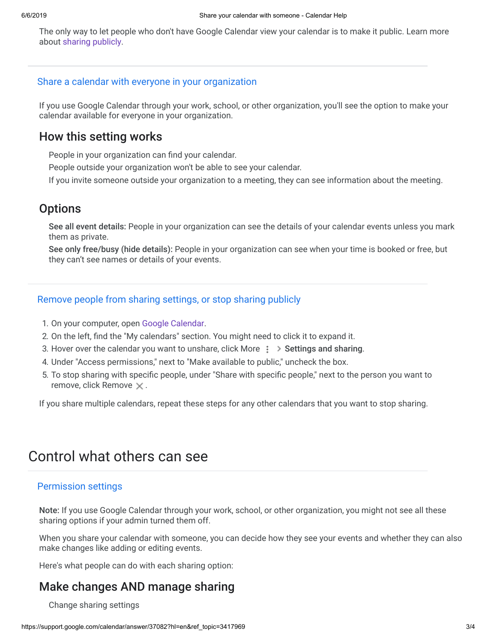The only way to let people who don't have Google Calendar view your calendar is to make it public. Learn more about [sharing publicly](https://support.google.com/calendar/answer/37083).

#### Share a calendar with everyone in your organization

If you use Google Calendar through your work, school, or other organization, you'll see the option to make your calendar available for everyone in your organization.

### How this setting works

People in your organization can find your calendar.

People outside your organization won't be able to see your calendar.

If you invite someone outside your organization to a meeting, they can see information about the meeting.

## **Options**

See all event details: People in your organization can see the details of your calendar events unless you mark them as private.

See only free/busy (hide details): People in your organization can see when your time is booked or free, but they can't see names or details of your events.

#### Remove people from sharing settings, or stop sharing publicly

- 1. On your computer, open [Google Calendar.](https://calendar.google.com/)
- 2. On the left, find the "My calendars" section. You might need to click it to expand it.
- 3. Hover over the calendar you want to unshare, click More  $\frac{1}{2}$  > Settings and sharing.
- 4. Under "Access permissions," next to "Make available to public," uncheck the box.
- 5. To stop sharing with specific people, under "Share with specific people," next to the person you want to remove, click Remove  $\times$ .

If you share multiple calendars, repeat these steps for any other calendars that you want to stop sharing.

## Control what others can see

#### Permission settings

Note: If you use Google Calendar through your work, school, or other organization, you might not see all these sharing options if your admin turned them off.

When you share your calendar with someone, you can decide how they see your events and whether they can also make changes like adding or editing events.

Here's what people can do with each sharing option:

## Make changes AND manage sharing

Change sharing settings